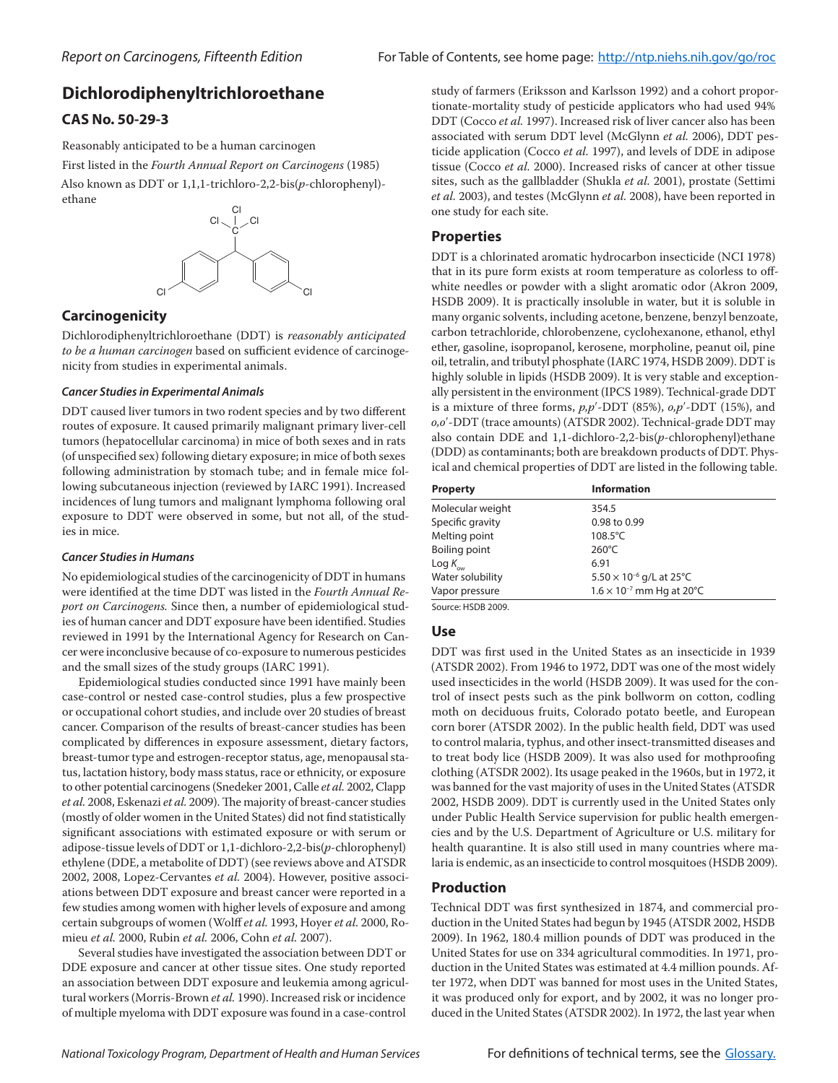# **Dichlorodiphenyltrichloroethane**

## **CAS No. 50-29-3**

Reasonably anticipated to be a human carcinogen

First listed in the *Fourth Annual Report on Carcinogens* (1985) Also known as DDT or 1,1,1-trichloro-2,2-bis(*p*-chlorophenyl) ethane



## **Carcinogenicity**

Dichlorodiphenyltrichloroethane (DDT) is *reasonably anticipated to be a human carcinogen* based on sufficient evidence of carcinogenicity from studies in experimental animals.

### *Cancer Studies in Experimental Animals*

DDT caused liver tumors in two rodent species and by two different routes of exposure. It caused primarily malignant primary liver-cell tumors (hepatocellular carcinoma) in mice of both sexes and in rats (of unspecified sex) following dietary exposure; in mice of both sexes following administration by stomach tube; and in female mice following subcutaneous injection (reviewed by IARC 1991). Increased incidences of lung tumors and malignant lymphoma following oral exposure to DDT were observed in some, but not all, of the studies in mice.

### *Cancer Studies in Humans*

No epidemiological studies of the carcinogenicity of DDT in humans were identified at the time DDT was listed in the *Fourth Annual Report on Carcinogens.* Since then, a number of epidemiological studies of human cancer and DDT exposure have been identified. Studies reviewed in 1991 by the International Agency for Research on Cancer were inconclusive because of co-exposure to numerous pesticides and the small sizes of the study groups (IARC 1991).

Epidemiological studies conducted since 1991 have mainly been case-control or nested case-control studies, plus a few prospective or occupational cohort studies, and include over 20 studies of breast cancer. Comparison of the results of breast-cancer studies has been complicated by differences in exposure assessment, dietary factors, breast-tumor type and estrogen-receptor status, age, menopausal status, lactation history, body mass status, race or ethnicity, or exposure to other potential carcinogens (Snedeker 2001, Calle *et al.* 2002, Clapp *et al.* 2008, Eskenazi *et al.* 2009). The majority of breast-cancer studies (mostly of older women in the United States) did not find statistically significant associations with estimated exposure or with serum or adipose-tissue levels of DDT or 1,1-dichloro-2,2-bis(*p*-chlorophenyl) ethylene (DDE, a metabolite of DDT) (see reviews above and ATSDR 2002, 2008, Lopez-Cervantes *et al.* 2004). However, positive associations between DDT exposure and breast cancer were reported in a few studies among women with higher levels of exposure and among certain subgroups of women (Wolff *et al.* 1993, Hoyer *et al.* 2000, Romieu *et al.* 2000, Rubin *et al.* 2006, Cohn *et al.* 2007).

Several studies have investigated the association between DDT or DDE exposure and cancer at other tissue sites. One study reported an association between DDT exposure and leukemia among agricultural workers (Morris-Brown *et al.* 1990). Increased risk or incidence of multiple myeloma with DDT exposure was found in a case-control

study of farmers (Eriksson and Karlsson 1992) and a cohort proportionate-mortality study of pesticide applicators who had used 94% DDT (Cocco *et al.* 1997). Increased risk of liver cancer also has been associated with serum DDT level (McGlynn *et al.* 2006), DDT pesticide application (Cocco *et al.* 1997), and levels of DDE in adipose tissue (Cocco *et al.* 2000). Increased risks of cancer at other tissue sites, such as the gallbladder (Shukla *et al.* 2001), prostate (Settimi *et al.* 2003), and testes (McGlynn *et al.* 2008), have been reported in one study for each site.

## **Properties**

DDT is a chlorinated aromatic hydrocarbon insecticide (NCI 1978) that in its pure form exists at room temperature as colorless to offwhite needles or powder with a slight aromatic odor (Akron 2009, HSDB 2009). It is practically insoluble in water, but it is soluble in many organic solvents, including acetone, benzene, benzyl benzoate, carbon tetrachloride, chlorobenzene, cyclohexanone, ethanol, ethyl ether, gasoline, isopropanol, kerosene, morpholine, peanut oil, pine oil, tetralin, and tributyl phosphate (IARC 1974, HSDB 2009). DDT is highly soluble in lipids (HSDB 2009). It is very stable and exceptionally persistent in the environment (IPCS 1989). Technical-grade DDT is a mixture of three forms, *p,p*′-DDT (85%), *o,p*′-DDT (15%), and *o,o*′-DDT (trace amounts) (ATSDR 2002). Technical-grade DDT may also contain DDE and 1,1-dichloro-2,2-bis(*p*-chlorophenyl)ethane (DDD) as contaminants; both are breakdown products of DDT. Physical and chemical properties of DDT are listed in the following table.

| <b>Property</b>      | <b>Information</b>                 |
|----------------------|------------------------------------|
| Molecular weight     | 354.5                              |
| Specific gravity     | 0.98 to 0.99                       |
| Melting point        | $108.5^{\circ}$ C                  |
| Boiling point        | $260^{\circ}$ C                    |
| Log $K_{_{\rm{ow}}}$ | 6.91                               |
| Water solubility     | $5.50 \times 10^{-6}$ g/L at 25°C  |
| Vapor pressure       | $1.6 \times 10^{-7}$ mm Hg at 20°C |
|                      |                                    |

Source: HSDB 2009.

### **Use**

DDT was first used in the United States as an insecticide in 1939 (ATSDR 2002). From 1946 to 1972, DDT was one of the most widely used insecticides in the world (HSDB 2009). It was used for the control of insect pests such as the pink bollworm on cotton, codling moth on deciduous fruits, Colorado potato beetle, and European corn borer (ATSDR 2002). In the public health field, DDT was used to control malaria, typhus, and other insect-transmitted diseases and to treat body lice (HSDB 2009). It was also used for mothproofing clothing (ATSDR 2002). Its usage peaked in the 1960s, but in 1972, it was banned for the vast majority of uses in the United States (ATSDR 2002, HSDB 2009). DDT is currently used in the United States only under Public Health Service supervision for public health emergencies and by the U.S. Department of Agriculture or U.S. military for health quarantine. It is also still used in many countries where malaria is endemic, as an insecticide to control mosquitoes (HSDB 2009).

### **Production**

Technical DDT was first synthesized in 1874, and commercial production in the United States had begun by 1945 (ATSDR 2002, HSDB 2009). In 1962, 180.4 million pounds of DDT was produced in the United States for use on 334 agricultural commodities. In 1971, production in the United States was estimated at 4.4 million pounds. After 1972, when DDT was banned for most uses in the United States, it was produced only for export, and by 2002, it was no longer produced in the United States (ATSDR 2002). In 1972, the last year when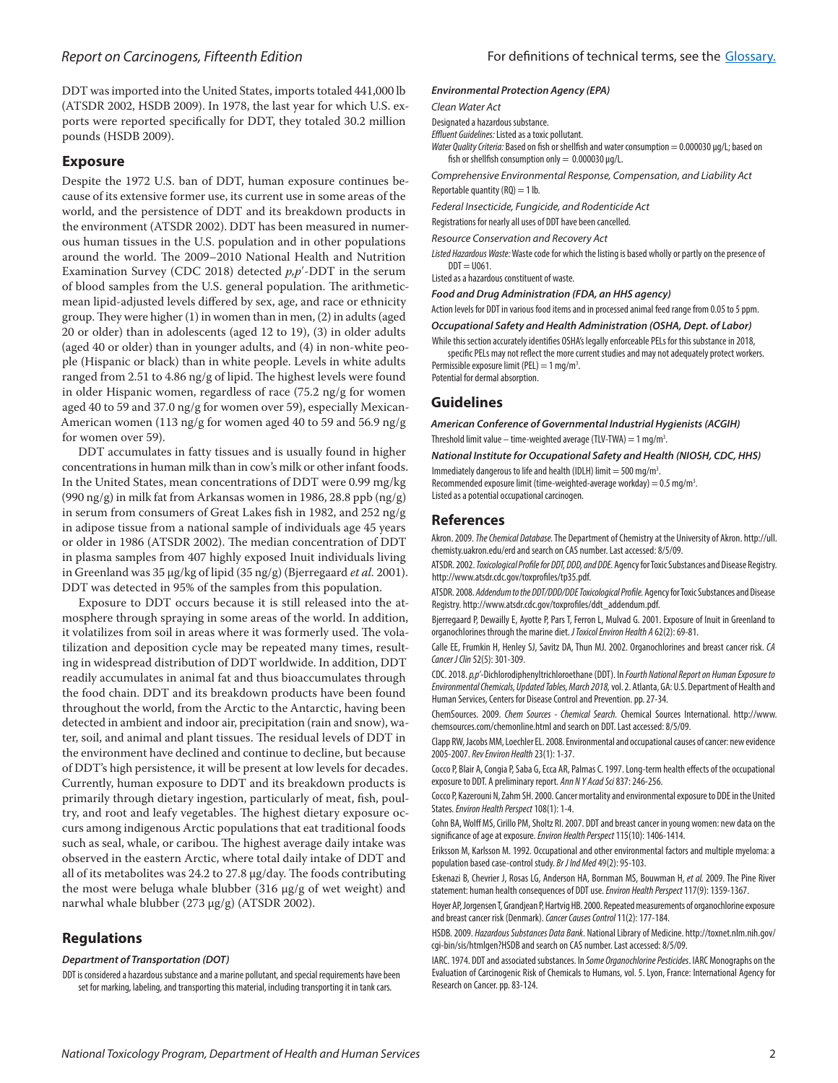#### **Exposure**

Despite the 1972 U.S. ban of DDT, human exposure continues because of its extensive former use, its current use in some areas of the world, and the persistence of DDT and its breakdown products in the environment (ATSDR 2002). DDT has been measured in numerous human tissues in the U.S. population and in other populations around the world. The 2009–2010 National Health and Nutrition Examination Survey (CDC 2018) detected *p,p*′-DDT in the serum of blood samples from the U.S. general population. The arithmeticmean lipid-adjusted levels differed by sex, age, and race or ethnicity group. They were higher (1) in women than in men, (2) in adults (aged 20 or older) than in adolescents (aged 12 to 19), (3) in older adults (aged 40 or older) than in younger adults, and (4) in non-white people (Hispanic or black) than in white people. Levels in white adults ranged from 2.51 to 4.86 ng/g of lipid. The highest levels were found in older Hispanic women, regardless of race (75.2 ng/g for women aged 40 to 59 and 37.0 ng/g for women over 59), especially Mexican-American women (113 ng/g for women aged 40 to 59 and 56.9 ng/g for women over 59).

DDT accumulates in fatty tissues and is usually found in higher concentrations in human milk than in cow's milk or other infant foods. In the United States, mean concentrations of DDT were 0.99 mg/kg (990 ng/g) in milk fat from Arkansas women in 1986, 28.8 ppb (ng/g) in serum from consumers of Great Lakes fish in 1982, and 252 ng/g in adipose tissue from a national sample of individuals age 45 years or older in 1986 (ATSDR 2002). The median concentration of DDT in plasma samples from 407 highly exposed Inuit individuals living in Greenland was 35 μg/kg of lipid (35 ng/g) (Bjerregaard *et al.* 2001). DDT was detected in 95% of the samples from this population.

Exposure to DDT occurs because it is still released into the atmosphere through spraying in some areas of the world. In addition, it volatilizes from soil in areas where it was formerly used. The volatilization and deposition cycle may be repeated many times, resulting in widespread distribution of DDT worldwide. In addition, DDT readily accumulates in animal fat and thus bioaccumulates through the food chain. DDT and its breakdown products have been found throughout the world, from the Arctic to the Antarctic, having been detected in ambient and indoor air, precipitation (rain and snow), water, soil, and animal and plant tissues. The residual levels of DDT in the environment have declined and continue to decline, but because of DDT's high persistence, it will be present at low levels for decades. Currently, human exposure to DDT and its breakdown products is primarily through dietary ingestion, particularly of meat, fish, poultry, and root and leafy vegetables. The highest dietary exposure occurs among indigenous Arctic populations that eat traditional foods such as seal, whale, or caribou. The highest average daily intake was observed in the eastern Arctic, where total daily intake of DDT and all of its metabolites was 24.2 to 27.8 μg/day. The foods contributing the most were beluga whale blubber (316 μg/g of wet weight) and narwhal whale blubber (273 μg/g) (ATSDR 2002).

### **Regulations**

#### *Department of Transportation (DOT)*

DDT is considered a hazardous substance and a marine pollutant, and special requirements have been set for marking, labeling, and transporting this material, including transporting it in tank cars.

#### *Environmental Protection Agency (EPA)*

*Clean Water Act* 

Designated a hazardous substance.

*Effluent Guidelines:* Listed as a toxic pollutant.

*Water Quality Criteria:* Based on fish or shellfish and water consumption = 0.000030 μg/L; based on fish or shellfish consumption only =  $0.000030 \,\text{\upmu}\text{g/L}$ .

*Comprehensive Environmental Response, Compensation, and Liability Act* Reportable quantity  $(RQ) = 1$  lb.

*Federal Insecticide, Fungicide, and Rodenticide Act*

Registrations for nearly all uses of DDT have been cancelled.

*Resource Conservation and Recovery Act*

*Listed Hazardous Waste:* Waste code for which the listing is based wholly or partly on the presence of  $DDT = U061$ .

Listed as a hazardous constituent of waste.

*Food and Drug Administration (FDA, an HHS agency)*

Action levels for DDT in various food items and in processed animal feed range from 0.05 to 5 ppm.

*Occupational Safety and Health Administration (OSHA, Dept. of Labor)*

While this section accurately identifies OSHA's legally enforceable PELs for this substance in 2018, specific PELs may not reflect the more current studies and may not adequately protect workers. Permissible exposure limit (PEL) =  $1 \text{ mg/m}^3$ . . Potential for dermal absorption.

**Guidelines**

*American Conference of Governmental Industrial Hygienists (ACGIH)* Threshold limit value – time-weighted average (TLV-TWA) =  $1 \text{ mg/m}^3$ . .

*National Institute for Occupational Safety and Health (NIOSH, CDC, HHS)*

Immediately dangerous to life and health (IDLH) limit = 500 mg/m<sup>3</sup>. . Recommended exposure limit (time-weighted-average workday) =  $0.5$  mg/m<sup>3</sup>. Listed as a potential occupational carcinogen.

#### **References**

Akron. 2009. *The Chemical Database.* The Department of Chemistry at the University of Akron. http://ull. chemisty.uakron.edu/erd and search on CAS number. Last accessed: 8/5/09.

.

ATSDR. 2002. *Toxicological Profile for DDT, DDD, and DDE.* Agency for Toxic Substances and Disease Registry. http://www.atsdr.cdc.gov/toxprofiles/tp35.pdf.

ATSDR. 2008. *Addendum to the DDT/DDD/DDE Toxicological Profile.* Agency for Toxic Substances and Disease Registry. http://www.atsdr.cdc.gov/toxprofiles/ddt\_addendum.pdf.

Bjerregaard P, Dewailly E, Ayotte P, Pars T, Ferron L, Mulvad G. 2001. Exposure of Inuit in Greenland to organochlorines through the marine diet. *J Toxicol Environ Health A* 62(2): 69-81.

Calle EE, Frumkin H, Henley SJ, Savitz DA, Thun MJ. 2002. Organochlorines and breast cancer risk. *CA Cancer J Clin* 52(5): 301-309.

CDC. 2018. *p,p'*-Dichlorodiphenyltrichloroethane (DDT). In *Fourth National Report on Human Exposure to Environmental Chemicals, Updated Tables, March 2018,* vol. 2. Atlanta, GA: U.S. Department of Health and Human Services, Centers for Disease Control and Prevention. pp. 27-34.

ChemSources. 2009. *Chem Sources - Chemical Search.* Chemical Sources International. http://www. chemsources.com/chemonline.html and search on DDT. Last accessed: 8/5/09.

Clapp RW, Jacobs MM, Loechler EL. 2008. Environmental and occupational causes of cancer: new evidence 2005-2007. *Rev Environ Health* 23(1): 1-37.

Cocco P, Blair A, Congia P, Saba G, Ecca AR, Palmas C. 1997. Long-term health effects of the occupational exposure to DDT. A preliminary report. *Ann N Y Acad Sci* 837: 246-256.

Cocco P, Kazerouni N, Zahm SH. 2000. Cancer mortality and environmental exposure to DDE in the United States. *Environ Health Perspect* 108(1): 1-4.

Cohn BA, Wolff MS, Cirillo PM, Sholtz RI. 2007. DDT and breast cancer in young women: new data on the significance of age at exposure. *Environ Health Perspect* 115(10): 1406-1414.

Eriksson M, Karlsson M. 1992. Occupational and other environmental factors and multiple myeloma: a population based case-control study. *Br J Ind Med* 49(2): 95-103.

Eskenazi B, Chevrier J, Rosas LG, Anderson HA, Bornman MS, Bouwman H, *et al.* 2009. The Pine River statement: human health consequences of DDT use. *Environ Health Perspect* 117(9): 1359-1367.

Hoyer AP, Jorgensen T, Grandjean P, Hartvig HB. 2000. Repeated measurements of organochlorine exposure and breast cancer risk (Denmark). *Cancer Causes Control* 11(2): 177-184.

HSDB. 2009. *Hazardous Substances Data Bank*. National Library of Medicine. http://toxnet.nlm.nih.gov/ cgi-bin/sis/htmlgen?HSDB and search on CAS number. Last accessed: 8/5/09.

IARC. 1974. DDT and associated substances. In *Some Organochlorine Pesticides*. IARC Monographs on the Evaluation of Carcinogenic Risk of Chemicals to Humans, vol. 5. Lyon, France: International Agency for Research on Cancer. pp. 83-124.